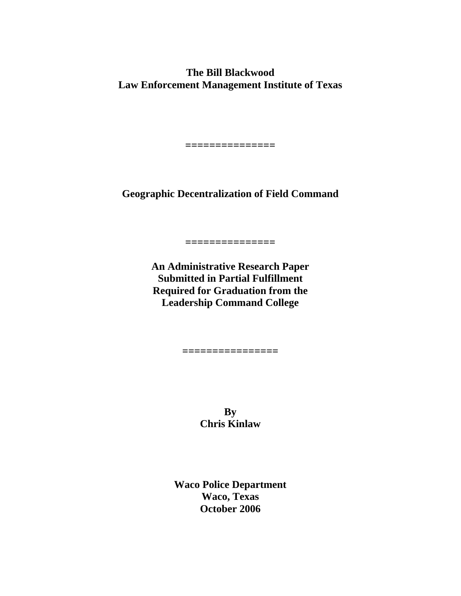**The Bill Blackwood Law Enforcement Management Institute of Texas** 

**Geographic Decentralization of Field Command** 

**===============** 

**An Administrative Research Paper Submitted in Partial Fulfillment Required for Graduation from the Leadership Command College** 

**===============** 

**By Chris Kinlaw** 

**================** 

**Waco Police Department Waco, Texas October 2006**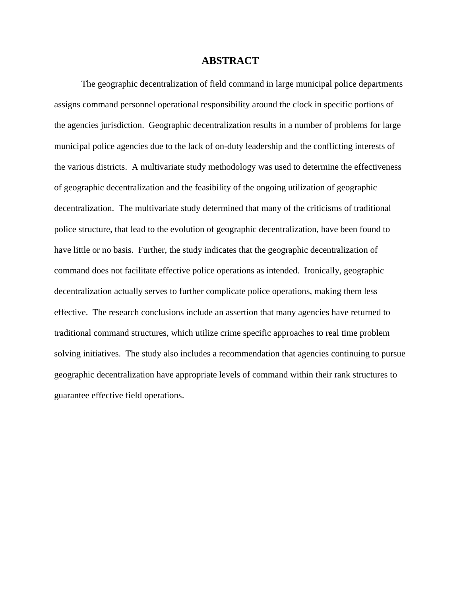#### **ABSTRACT**

The geographic decentralization of field command in large municipal police departments assigns command personnel operational responsibility around the clock in specific portions of the agencies jurisdiction. Geographic decentralization results in a number of problems for large municipal police agencies due to the lack of on-duty leadership and the conflicting interests of the various districts. A multivariate study methodology was used to determine the effectiveness of geographic decentralization and the feasibility of the ongoing utilization of geographic decentralization. The multivariate study determined that many of the criticisms of traditional police structure, that lead to the evolution of geographic decentralization, have been found to have little or no basis. Further, the study indicates that the geographic decentralization of command does not facilitate effective police operations as intended. Ironically, geographic decentralization actually serves to further complicate police operations, making them less effective. The research conclusions include an assertion that many agencies have returned to traditional command structures, which utilize crime specific approaches to real time problem solving initiatives. The study also includes a recommendation that agencies continuing to pursue geographic decentralization have appropriate levels of command within their rank structures to guarantee effective field operations.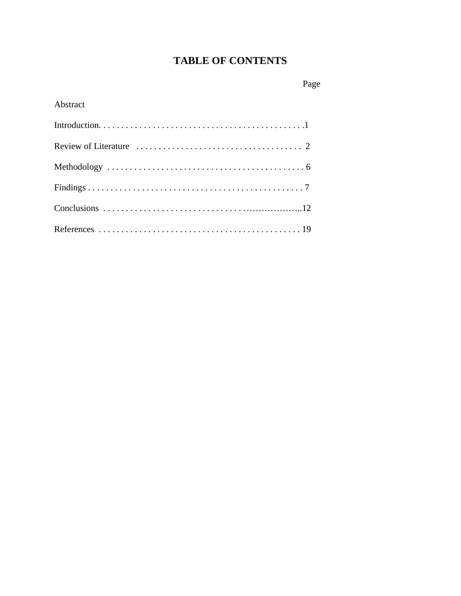# **TABLE OF CONTENTS**

## Page

## Abstract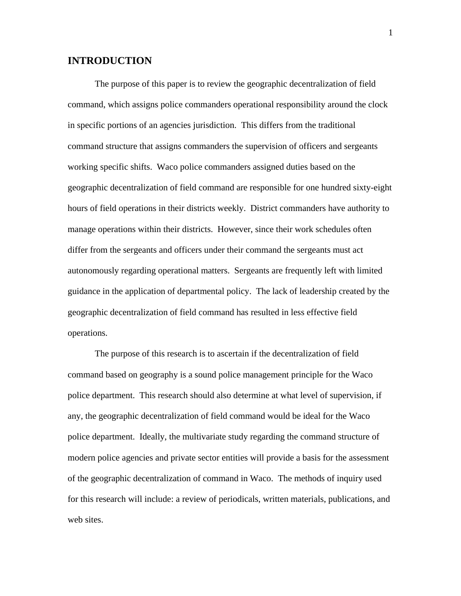## **INTRODUCTION**

The purpose of this paper is to review the geographic decentralization of field command, which assigns police commanders operational responsibility around the clock in specific portions of an agencies jurisdiction. This differs from the traditional command structure that assigns commanders the supervision of officers and sergeants working specific shifts. Waco police commanders assigned duties based on the geographic decentralization of field command are responsible for one hundred sixty-eight hours of field operations in their districts weekly. District commanders have authority to manage operations within their districts. However, since their work schedules often differ from the sergeants and officers under their command the sergeants must act autonomously regarding operational matters. Sergeants are frequently left with limited guidance in the application of departmental policy. The lack of leadership created by the geographic decentralization of field command has resulted in less effective field operations.

The purpose of this research is to ascertain if the decentralization of field command based on geography is a sound police management principle for the Waco police department. This research should also determine at what level of supervision, if any, the geographic decentralization of field command would be ideal for the Waco police department. Ideally, the multivariate study regarding the command structure of modern police agencies and private sector entities will provide a basis for the assessment of the geographic decentralization of command in Waco. The methods of inquiry used for this research will include: a review of periodicals, written materials, publications, and web sites.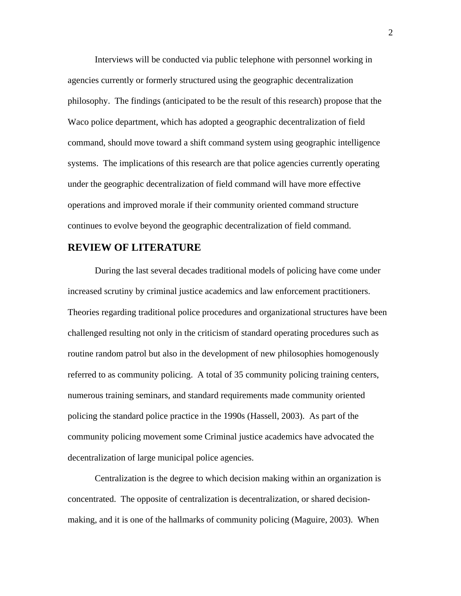Interviews will be conducted via public telephone with personnel working in agencies currently or formerly structured using the geographic decentralization philosophy. The findings (anticipated to be the result of this research) propose that the Waco police department, which has adopted a geographic decentralization of field command, should move toward a shift command system using geographic intelligence systems. The implications of this research are that police agencies currently operating under the geographic decentralization of field command will have more effective operations and improved morale if their community oriented command structure continues to evolve beyond the geographic decentralization of field command.

## **REVIEW OF LITERATURE**

During the last several decades traditional models of policing have come under increased scrutiny by criminal justice academics and law enforcement practitioners. Theories regarding traditional police procedures and organizational structures have been challenged resulting not only in the criticism of standard operating procedures such as routine random patrol but also in the development of new philosophies homogenously referred to as community policing. A total of 35 community policing training centers, numerous training seminars, and standard requirements made community oriented policing the standard police practice in the 1990s (Hassell, 2003). As part of the community policing movement some Criminal justice academics have advocated the decentralization of large municipal police agencies.

Centralization is the degree to which decision making within an organization is concentrated. The opposite of centralization is decentralization, or shared decisionmaking, and it is one of the hallmarks of community policing (Maguire, 2003). When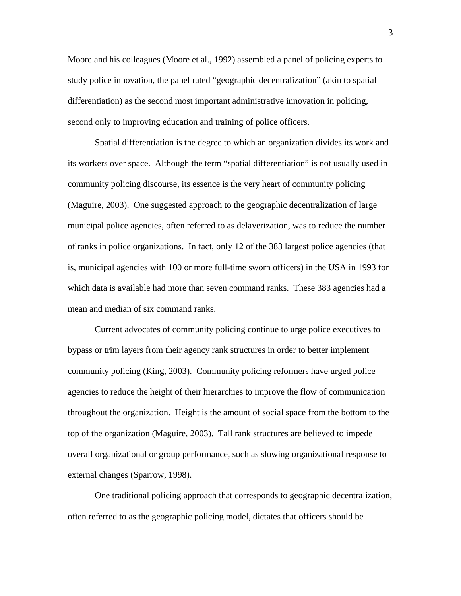Moore and his colleagues (Moore et al., 1992) assembled a panel of policing experts to study police innovation, the panel rated "geographic decentralization" (akin to spatial differentiation) as the second most important administrative innovation in policing, second only to improving education and training of police officers.

Spatial differentiation is the degree to which an organization divides its work and its workers over space. Although the term "spatial differentiation" is not usually used in community policing discourse, its essence is the very heart of community policing (Maguire, 2003). One suggested approach to the geographic decentralization of large municipal police agencies, often referred to as delayerization, was to reduce the number of ranks in police organizations. In fact, only 12 of the 383 largest police agencies (that is, municipal agencies with 100 or more full-time sworn officers) in the USA in 1993 for which data is available had more than seven command ranks. These 383 agencies had a mean and median of six command ranks.

Current advocates of community policing continue to urge police executives to bypass or trim layers from their agency rank structures in order to better implement community policing (King, 2003). Community policing reformers have urged police agencies to reduce the height of their hierarchies to improve the flow of communication throughout the organization. Height is the amount of social space from the bottom to the top of the organization (Maguire, 2003). Tall rank structures are believed to impede overall organizational or group performance, such as slowing organizational response to external changes (Sparrow, 1998).

One traditional policing approach that corresponds to geographic decentralization, often referred to as the geographic policing model, dictates that officers should be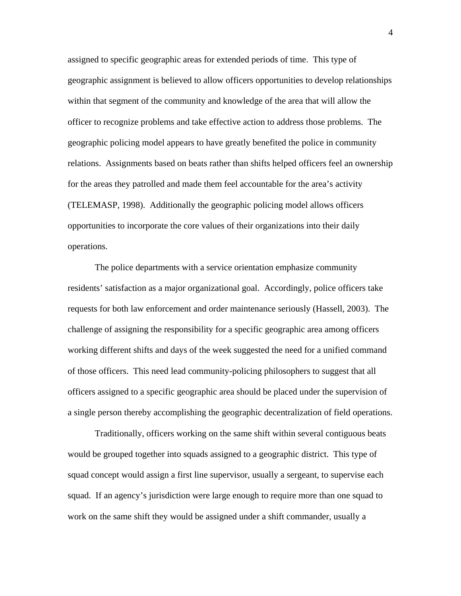assigned to specific geographic areas for extended periods of time. This type of geographic assignment is believed to allow officers opportunities to develop relationships within that segment of the community and knowledge of the area that will allow the officer to recognize problems and take effective action to address those problems. The geographic policing model appears to have greatly benefited the police in community relations. Assignments based on beats rather than shifts helped officers feel an ownership for the areas they patrolled and made them feel accountable for the area's activity (TELEMASP, 1998). Additionally the geographic policing model allows officers opportunities to incorporate the core values of their organizations into their daily operations.

The police departments with a service orientation emphasize community residents' satisfaction as a major organizational goal. Accordingly, police officers take requests for both law enforcement and order maintenance seriously (Hassell, 2003). The challenge of assigning the responsibility for a specific geographic area among officers working different shifts and days of the week suggested the need for a unified command of those officers. This need lead community-policing philosophers to suggest that all officers assigned to a specific geographic area should be placed under the supervision of a single person thereby accomplishing the geographic decentralization of field operations.

Traditionally, officers working on the same shift within several contiguous beats would be grouped together into squads assigned to a geographic district. This type of squad concept would assign a first line supervisor, usually a sergeant, to supervise each squad. If an agency's jurisdiction were large enough to require more than one squad to work on the same shift they would be assigned under a shift commander, usually a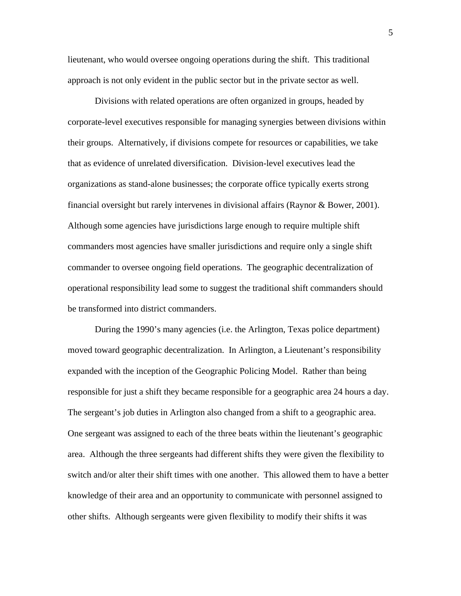lieutenant, who would oversee ongoing operations during the shift. This traditional approach is not only evident in the public sector but in the private sector as well.

Divisions with related operations are often organized in groups, headed by corporate-level executives responsible for managing synergies between divisions within their groups. Alternatively, if divisions compete for resources or capabilities, we take that as evidence of unrelated diversification. Division-level executives lead the organizations as stand-alone businesses; the corporate office typically exerts strong financial oversight but rarely intervenes in divisional affairs (Raynor & Bower, 2001). Although some agencies have jurisdictions large enough to require multiple shift commanders most agencies have smaller jurisdictions and require only a single shift commander to oversee ongoing field operations. The geographic decentralization of operational responsibility lead some to suggest the traditional shift commanders should be transformed into district commanders.

During the 1990's many agencies (i.e. the Arlington, Texas police department) moved toward geographic decentralization. In Arlington, a Lieutenant's responsibility expanded with the inception of the Geographic Policing Model. Rather than being responsible for just a shift they became responsible for a geographic area 24 hours a day. The sergeant's job duties in Arlington also changed from a shift to a geographic area. One sergeant was assigned to each of the three beats within the lieutenant's geographic area. Although the three sergeants had different shifts they were given the flexibility to switch and/or alter their shift times with one another. This allowed them to have a better knowledge of their area and an opportunity to communicate with personnel assigned to other shifts. Although sergeants were given flexibility to modify their shifts it was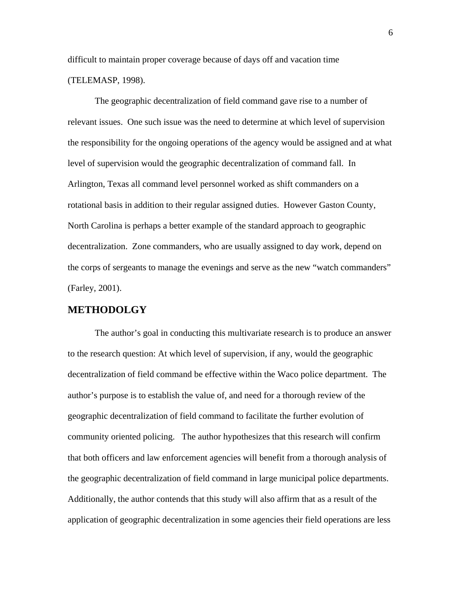difficult to maintain proper coverage because of days off and vacation time (TELEMASP, 1998).

The geographic decentralization of field command gave rise to a number of relevant issues. One such issue was the need to determine at which level of supervision the responsibility for the ongoing operations of the agency would be assigned and at what level of supervision would the geographic decentralization of command fall. In Arlington, Texas all command level personnel worked as shift commanders on a rotational basis in addition to their regular assigned duties. However Gaston County, North Carolina is perhaps a better example of the standard approach to geographic decentralization. Zone commanders, who are usually assigned to day work, depend on the corps of sergeants to manage the evenings and serve as the new "watch commanders" (Farley, 2001).

## **METHODOLGY**

The author's goal in conducting this multivariate research is to produce an answer to the research question: At which level of supervision, if any, would the geographic decentralization of field command be effective within the Waco police department. The author's purpose is to establish the value of, and need for a thorough review of the geographic decentralization of field command to facilitate the further evolution of community oriented policing. The author hypothesizes that this research will confirm that both officers and law enforcement agencies will benefit from a thorough analysis of the geographic decentralization of field command in large municipal police departments. Additionally, the author contends that this study will also affirm that as a result of the application of geographic decentralization in some agencies their field operations are less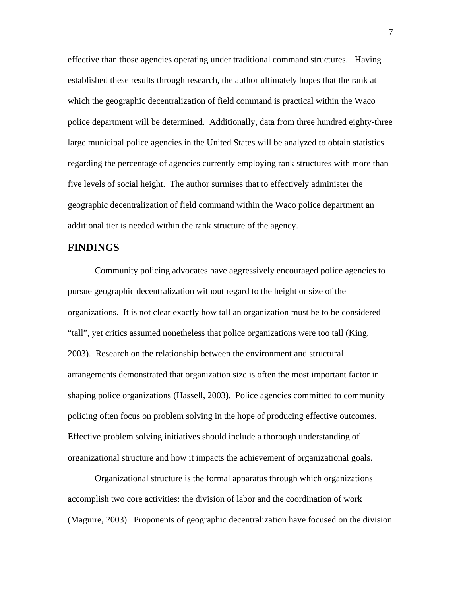effective than those agencies operating under traditional command structures. Having established these results through research, the author ultimately hopes that the rank at which the geographic decentralization of field command is practical within the Waco police department will be determined. Additionally, data from three hundred eighty-three large municipal police agencies in the United States will be analyzed to obtain statistics regarding the percentage of agencies currently employing rank structures with more than five levels of social height. The author surmises that to effectively administer the geographic decentralization of field command within the Waco police department an additional tier is needed within the rank structure of the agency.

## **FINDINGS**

Community policing advocates have aggressively encouraged police agencies to pursue geographic decentralization without regard to the height or size of the organizations. It is not clear exactly how tall an organization must be to be considered "tall", yet critics assumed nonetheless that police organizations were too tall (King, 2003). Research on the relationship between the environment and structural arrangements demonstrated that organization size is often the most important factor in shaping police organizations (Hassell, 2003). Police agencies committed to community policing often focus on problem solving in the hope of producing effective outcomes. Effective problem solving initiatives should include a thorough understanding of organizational structure and how it impacts the achievement of organizational goals.

Organizational structure is the formal apparatus through which organizations accomplish two core activities: the division of labor and the coordination of work (Maguire, 2003). Proponents of geographic decentralization have focused on the division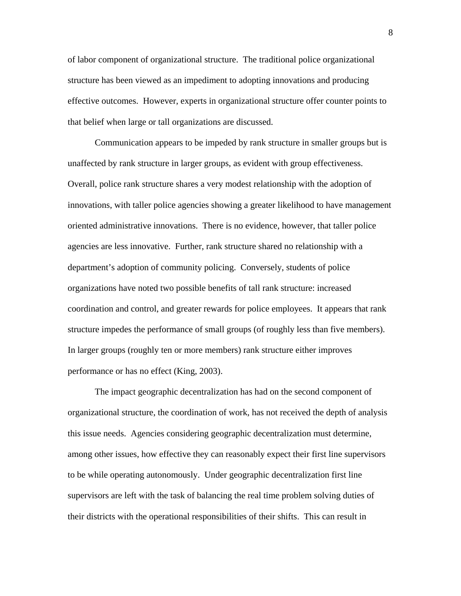of labor component of organizational structure. The traditional police organizational structure has been viewed as an impediment to adopting innovations and producing effective outcomes. However, experts in organizational structure offer counter points to that belief when large or tall organizations are discussed.

Communication appears to be impeded by rank structure in smaller groups but is unaffected by rank structure in larger groups, as evident with group effectiveness. Overall, police rank structure shares a very modest relationship with the adoption of innovations, with taller police agencies showing a greater likelihood to have management oriented administrative innovations. There is no evidence, however, that taller police agencies are less innovative. Further, rank structure shared no relationship with a department's adoption of community policing. Conversely, students of police organizations have noted two possible benefits of tall rank structure: increased coordination and control, and greater rewards for police employees. It appears that rank structure impedes the performance of small groups (of roughly less than five members). In larger groups (roughly ten or more members) rank structure either improves performance or has no effect (King, 2003).

The impact geographic decentralization has had on the second component of organizational structure, the coordination of work, has not received the depth of analysis this issue needs. Agencies considering geographic decentralization must determine, among other issues, how effective they can reasonably expect their first line supervisors to be while operating autonomously. Under geographic decentralization first line supervisors are left with the task of balancing the real time problem solving duties of their districts with the operational responsibilities of their shifts. This can result in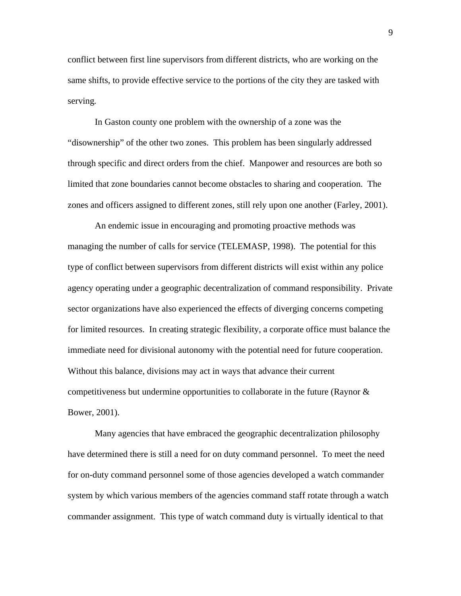conflict between first line supervisors from different districts, who are working on the same shifts, to provide effective service to the portions of the city they are tasked with serving*.* 

In Gaston county one problem with the ownership of a zone was the "disownership" of the other two zones. This problem has been singularly addressed through specific and direct orders from the chief. Manpower and resources are both so limited that zone boundaries cannot become obstacles to sharing and cooperation. The zones and officers assigned to different zones, still rely upon one another (Farley, 2001).

An endemic issue in encouraging and promoting proactive methods was managing the number of calls for service (TELEMASP, 1998). The potential for this type of conflict between supervisors from different districts will exist within any police agency operating under a geographic decentralization of command responsibility. Private sector organizations have also experienced the effects of diverging concerns competing for limited resources. In creating strategic flexibility, a corporate office must balance the immediate need for divisional autonomy with the potential need for future cooperation. Without this balance, divisions may act in ways that advance their current competitiveness but undermine opportunities to collaborate in the future (Raynor  $\&$ Bower, 2001).

Many agencies that have embraced the geographic decentralization philosophy have determined there is still a need for on duty command personnel. To meet the need for on-duty command personnel some of those agencies developed a watch commander system by which various members of the agencies command staff rotate through a watch commander assignment. This type of watch command duty is virtually identical to that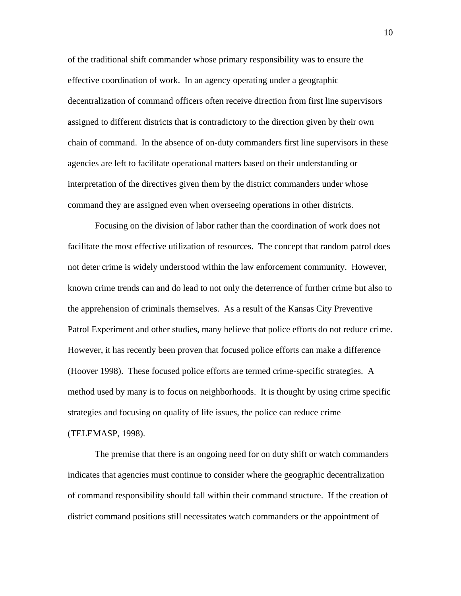of the traditional shift commander whose primary responsibility was to ensure the effective coordination of work. In an agency operating under a geographic decentralization of command officers often receive direction from first line supervisors assigned to different districts that is contradictory to the direction given by their own chain of command. In the absence of on-duty commanders first line supervisors in these agencies are left to facilitate operational matters based on their understanding or interpretation of the directives given them by the district commanders under whose command they are assigned even when overseeing operations in other districts.

Focusing on the division of labor rather than the coordination of work does not facilitate the most effective utilization of resources. The concept that random patrol does not deter crime is widely understood within the law enforcement community. However, known crime trends can and do lead to not only the deterrence of further crime but also to the apprehension of criminals themselves. As a result of the Kansas City Preventive Patrol Experiment and other studies, many believe that police efforts do not reduce crime. However, it has recently been proven that focused police efforts can make a difference (Hoover 1998). These focused police efforts are termed crime-specific strategies. A method used by many is to focus on neighborhoods. It is thought by using crime specific strategies and focusing on quality of life issues, the police can reduce crime (TELEMASP, 1998).

The premise that there is an ongoing need for on duty shift or watch commanders indicates that agencies must continue to consider where the geographic decentralization of command responsibility should fall within their command structure. If the creation of district command positions still necessitates watch commanders or the appointment of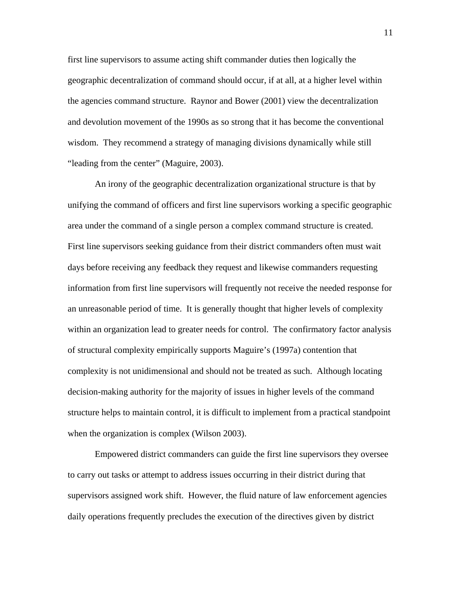first line supervisors to assume acting shift commander duties then logically the geographic decentralization of command should occur, if at all, at a higher level within the agencies command structure. Raynor and Bower (2001) view the decentralization and devolution movement of the 1990s as so strong that it has become the conventional wisdom. They recommend a strategy of managing divisions dynamically while still "leading from the center" (Maguire, 2003).

An irony of the geographic decentralization organizational structure is that by unifying the command of officers and first line supervisors working a specific geographic area under the command of a single person a complex command structure is created. First line supervisors seeking guidance from their district commanders often must wait days before receiving any feedback they request and likewise commanders requesting information from first line supervisors will frequently not receive the needed response for an unreasonable period of time. It is generally thought that higher levels of complexity within an organization lead to greater needs for control. The confirmatory factor analysis of structural complexity empirically supports Maguire's (1997a) contention that complexity is not unidimensional and should not be treated as such. Although locating decision-making authority for the majority of issues in higher levels of the command structure helps to maintain control, it is difficult to implement from a practical standpoint when the organization is complex (Wilson 2003).

Empowered district commanders can guide the first line supervisors they oversee to carry out tasks or attempt to address issues occurring in their district during that supervisors assigned work shift. However, the fluid nature of law enforcement agencies daily operations frequently precludes the execution of the directives given by district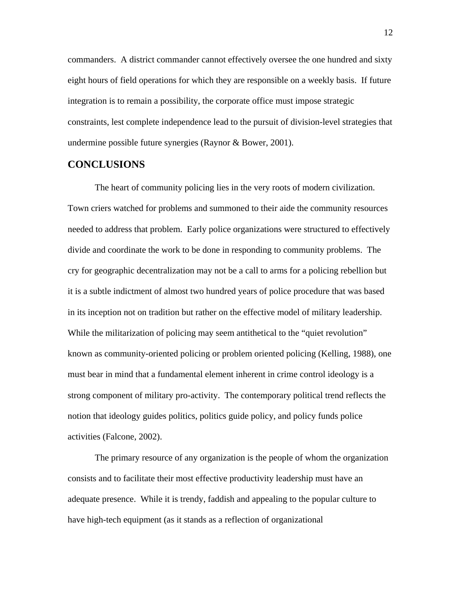commanders. A district commander cannot effectively oversee the one hundred and sixty eight hours of field operations for which they are responsible on a weekly basis. If future integration is to remain a possibility, the corporate office must impose strategic constraints, lest complete independence lead to the pursuit of division-level strategies that undermine possible future synergies (Raynor & Bower, 2001).

#### **CONCLUSIONS**

The heart of community policing lies in the very roots of modern civilization. Town criers watched for problems and summoned to their aide the community resources needed to address that problem. Early police organizations were structured to effectively divide and coordinate the work to be done in responding to community problems. The cry for geographic decentralization may not be a call to arms for a policing rebellion but it is a subtle indictment of almost two hundred years of police procedure that was based in its inception not on tradition but rather on the effective model of military leadership. While the militarization of policing may seem antithetical to the "quiet revolution" known as community-oriented policing or problem oriented policing (Kelling, 1988), one must bear in mind that a fundamental element inherent in crime control ideology is a strong component of military pro-activity. The contemporary political trend reflects the notion that ideology guides politics, politics guide policy, and policy funds police activities (Falcone, 2002).

The primary resource of any organization is the people of whom the organization consists and to facilitate their most effective productivity leadership must have an adequate presence. While it is trendy, faddish and appealing to the popular culture to have high-tech equipment (as it stands as a reflection of organizational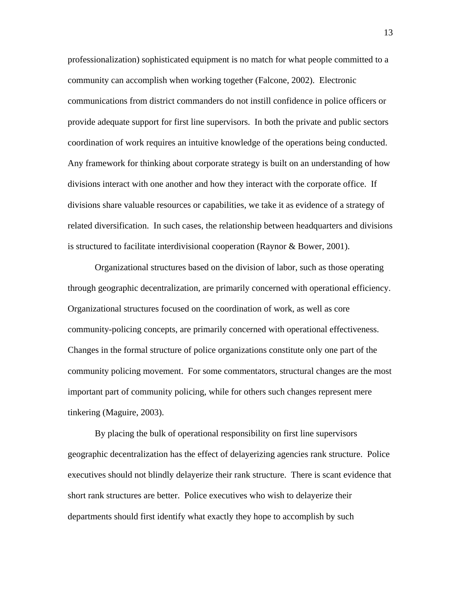professionalization) sophisticated equipment is no match for what people committed to a community can accomplish when working together (Falcone, 2002). Electronic communications from district commanders do not instill confidence in police officers or provide adequate support for first line supervisors. In both the private and public sectors coordination of work requires an intuitive knowledge of the operations being conducted. Any framework for thinking about corporate strategy is built on an understanding of how divisions interact with one another and how they interact with the corporate office. If divisions share valuable resources or capabilities, we take it as evidence of a strategy of related diversification. In such cases, the relationship between headquarters and divisions is structured to facilitate interdivisional cooperation (Raynor & Bower, 2001).

Organizational structures based on the division of labor, such as those operating through geographic decentralization, are primarily concerned with operational efficiency. Organizational structures focused on the coordination of work, as well as core community-policing concepts, are primarily concerned with operational effectiveness. Changes in the formal structure of police organizations constitute only one part of the community policing movement. For some commentators, structural changes are the most important part of community policing, while for others such changes represent mere tinkering (Maguire, 2003).

By placing the bulk of operational responsibility on first line supervisors geographic decentralization has the effect of delayerizing agencies rank structure. Police executives should not blindly delayerize their rank structure. There is scant evidence that short rank structures are better. Police executives who wish to delayerize their departments should first identify what exactly they hope to accomplish by such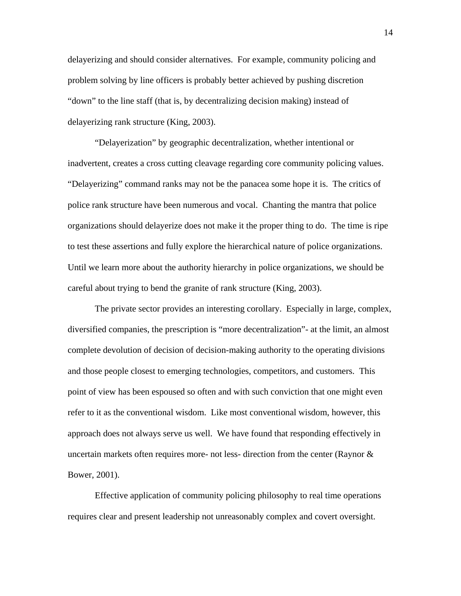delayerizing and should consider alternatives. For example, community policing and problem solving by line officers is probably better achieved by pushing discretion "down" to the line staff (that is, by decentralizing decision making) instead of delayerizing rank structure (King, 2003).

"Delayerization" by geographic decentralization, whether intentional or inadvertent, creates a cross cutting cleavage regarding core community policing values. "Delayerizing" command ranks may not be the panacea some hope it is. The critics of police rank structure have been numerous and vocal. Chanting the mantra that police organizations should delayerize does not make it the proper thing to do. The time is ripe to test these assertions and fully explore the hierarchical nature of police organizations. Until we learn more about the authority hierarchy in police organizations, we should be careful about trying to bend the granite of rank structure (King, 2003).

The private sector provides an interesting corollary. Especially in large, complex, diversified companies, the prescription is "more decentralization"- at the limit, an almost complete devolution of decision of decision-making authority to the operating divisions and those people closest to emerging technologies, competitors, and customers. This point of view has been espoused so often and with such conviction that one might even refer to it as the conventional wisdom. Like most conventional wisdom, however, this approach does not always serve us well. We have found that responding effectively in uncertain markets often requires more- not less- direction from the center (Raynor  $\&$ Bower, 2001).

Effective application of community policing philosophy to real time operations requires clear and present leadership not unreasonably complex and covert oversight.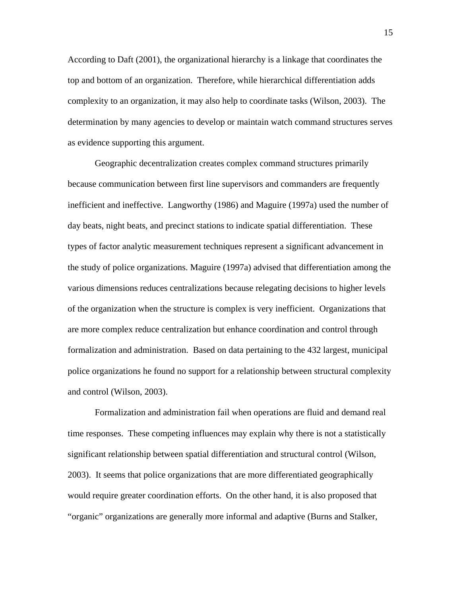According to Daft (2001), the organizational hierarchy is a linkage that coordinates the top and bottom of an organization. Therefore, while hierarchical differentiation adds complexity to an organization, it may also help to coordinate tasks (Wilson, 2003). The determination by many agencies to develop or maintain watch command structures serves as evidence supporting this argument.

Geographic decentralization creates complex command structures primarily because communication between first line supervisors and commanders are frequently inefficient and ineffective. Langworthy (1986) and Maguire (1997a) used the number of day beats, night beats, and precinct stations to indicate spatial differentiation. These types of factor analytic measurement techniques represent a significant advancement in the study of police organizations. Maguire (1997a) advised that differentiation among the various dimensions reduces centralizations because relegating decisions to higher levels of the organization when the structure is complex is very inefficient. Organizations that are more complex reduce centralization but enhance coordination and control through formalization and administration. Based on data pertaining to the 432 largest, municipal police organizations he found no support for a relationship between structural complexity and control (Wilson, 2003).

 Formalization and administration fail when operations are fluid and demand real time responses. These competing influences may explain why there is not a statistically significant relationship between spatial differentiation and structural control (Wilson, 2003). It seems that police organizations that are more differentiated geographically would require greater coordination efforts. On the other hand, it is also proposed that "organic" organizations are generally more informal and adaptive (Burns and Stalker,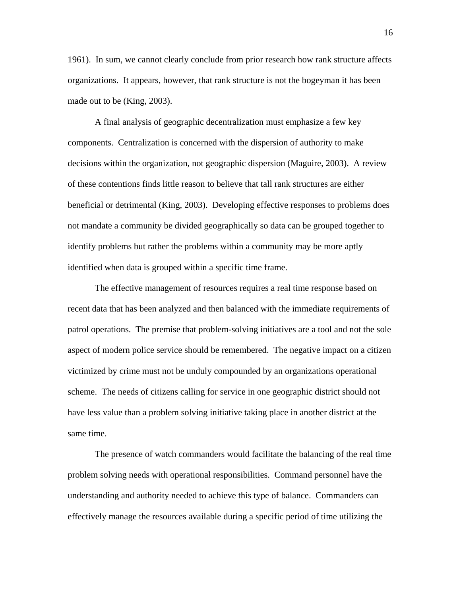1961). In sum, we cannot clearly conclude from prior research how rank structure affects organizations. It appears, however, that rank structure is not the bogeyman it has been made out to be (King, 2003).

A final analysis of geographic decentralization must emphasize a few key components. Centralization is concerned with the dispersion of authority to make decisions within the organization, not geographic dispersion (Maguire, 2003). A review of these contentions finds little reason to believe that tall rank structures are either beneficial or detrimental (King, 2003). Developing effective responses to problems does not mandate a community be divided geographically so data can be grouped together to identify problems but rather the problems within a community may be more aptly identified when data is grouped within a specific time frame.

The effective management of resources requires a real time response based on recent data that has been analyzed and then balanced with the immediate requirements of patrol operations. The premise that problem-solving initiatives are a tool and not the sole aspect of modern police service should be remembered. The negative impact on a citizen victimized by crime must not be unduly compounded by an organizations operational scheme. The needs of citizens calling for service in one geographic district should not have less value than a problem solving initiative taking place in another district at the same time.

The presence of watch commanders would facilitate the balancing of the real time problem solving needs with operational responsibilities. Command personnel have the understanding and authority needed to achieve this type of balance. Commanders can effectively manage the resources available during a specific period of time utilizing the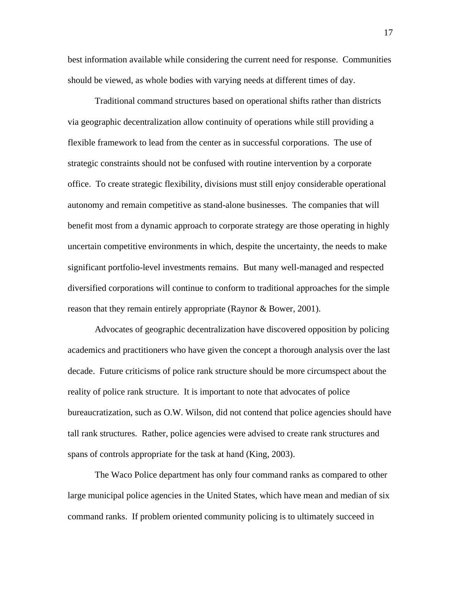best information available while considering the current need for response. Communities should be viewed, as whole bodies with varying needs at different times of day.

Traditional command structures based on operational shifts rather than districts via geographic decentralization allow continuity of operations while still providing a flexible framework to lead from the center as in successful corporations. The use of strategic constraints should not be confused with routine intervention by a corporate office. To create strategic flexibility, divisions must still enjoy considerable operational autonomy and remain competitive as stand-alone businesses. The companies that will benefit most from a dynamic approach to corporate strategy are those operating in highly uncertain competitive environments in which, despite the uncertainty, the needs to make significant portfolio-level investments remains. But many well-managed and respected diversified corporations will continue to conform to traditional approaches for the simple reason that they remain entirely appropriate (Raynor & Bower, 2001).

Advocates of geographic decentralization have discovered opposition by policing academics and practitioners who have given the concept a thorough analysis over the last decade. Future criticisms of police rank structure should be more circumspect about the reality of police rank structure. It is important to note that advocates of police bureaucratization, such as O.W. Wilson, did not contend that police agencies should have tall rank structures. Rather, police agencies were advised to create rank structures and spans of controls appropriate for the task at hand (King, 2003).

 The Waco Police department has only four command ranks as compared to other large municipal police agencies in the United States, which have mean and median of six command ranks. If problem oriented community policing is to ultimately succeed in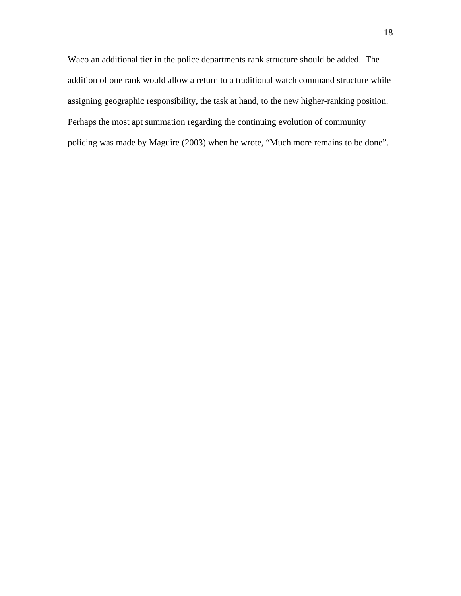Waco an additional tier in the police departments rank structure should be added. The addition of one rank would allow a return to a traditional watch command structure while assigning geographic responsibility, the task at hand, to the new higher-ranking position. Perhaps the most apt summation regarding the continuing evolution of community policing was made by Maguire (2003) when he wrote, "Much more remains to be done".